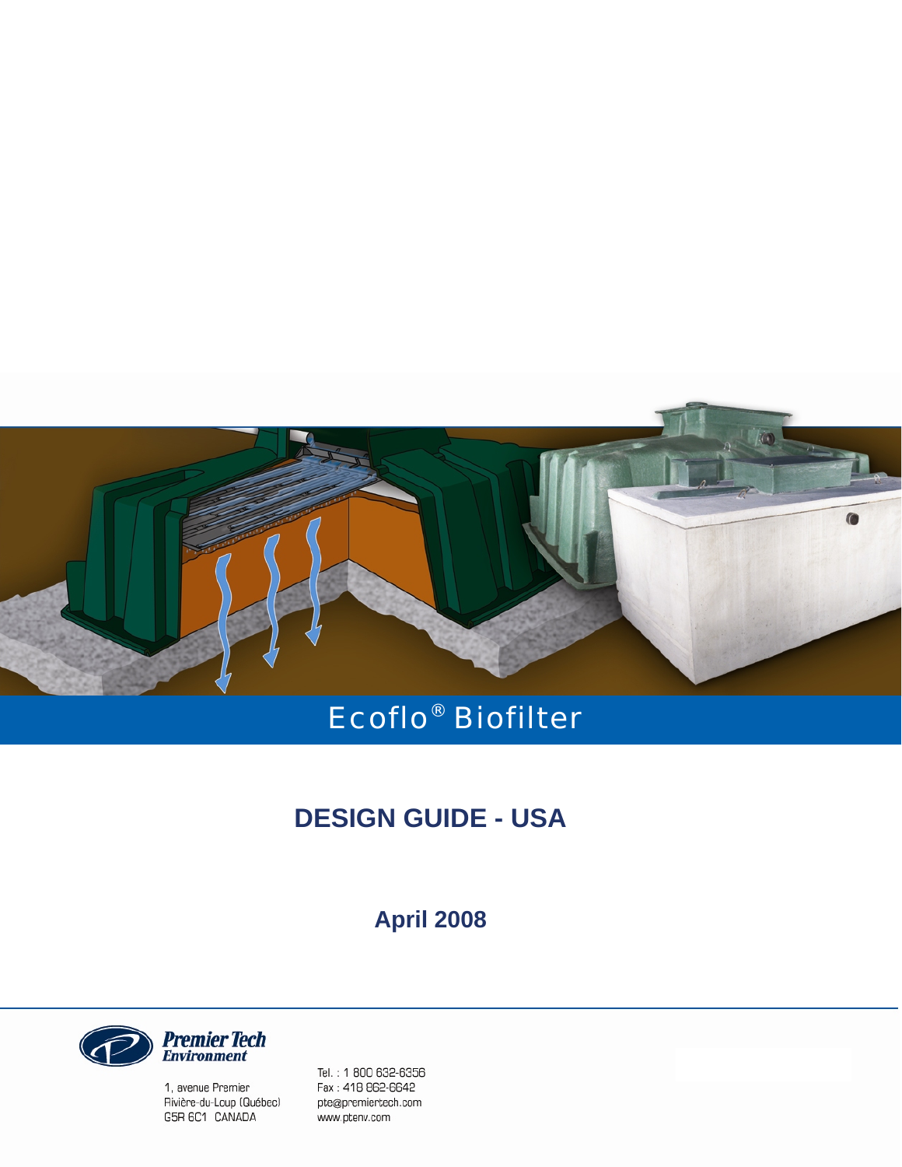

# Ecoflo® Biofilter

## **DESIGN GUIDE - USA**

**April 2008** 



1, avenue Premier Rivière-du-Loup (Québec) G5R 6C1 CANADA

Tel.: 1 800 632-6356 Fax: 418 862-6642 pte@premiertech.com www.ptenv.com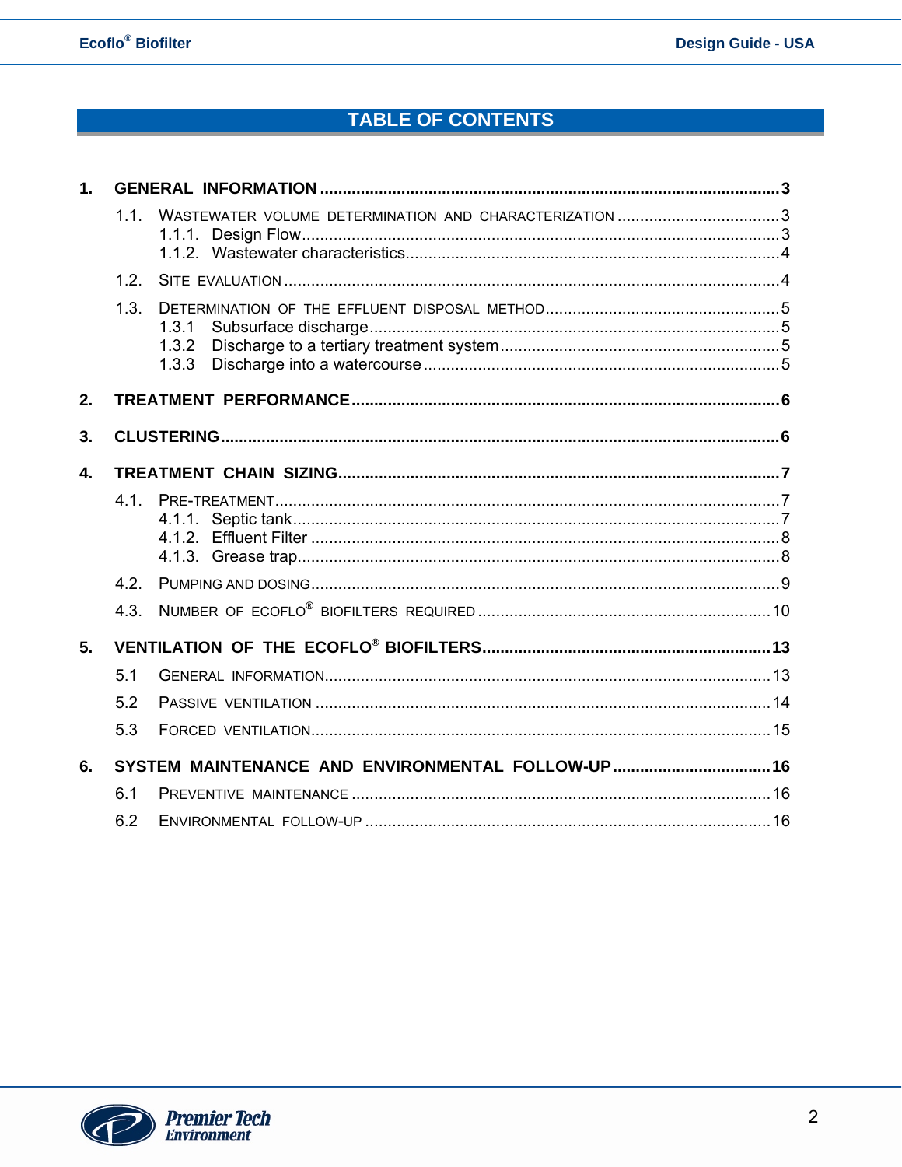## TABLE OF CONTENTS

| 1.             |      |                                                        |  |  |  |
|----------------|------|--------------------------------------------------------|--|--|--|
|                | 11   | WASTEWATER VOLUME DETERMINATION AND CHARACTERIZATION 3 |  |  |  |
|                | 1.2. |                                                        |  |  |  |
|                | 1.3. | 1.3.1<br>1.3.2<br>1.3.3                                |  |  |  |
| 2.             |      |                                                        |  |  |  |
| 3.             |      |                                                        |  |  |  |
| $\mathbf{4}$   |      |                                                        |  |  |  |
|                | 4.1. |                                                        |  |  |  |
|                | 4.2. |                                                        |  |  |  |
|                | 4.3. |                                                        |  |  |  |
| 5 <sub>1</sub> |      |                                                        |  |  |  |
|                | 5.1  |                                                        |  |  |  |
|                | 5.2  |                                                        |  |  |  |
|                | 5.3  |                                                        |  |  |  |
| 6.             |      | SYSTEM MAINTENANCE AND ENVIRONMENTAL FOLLOW-UP 16      |  |  |  |
|                | 6.1  |                                                        |  |  |  |
|                | 6.2  |                                                        |  |  |  |

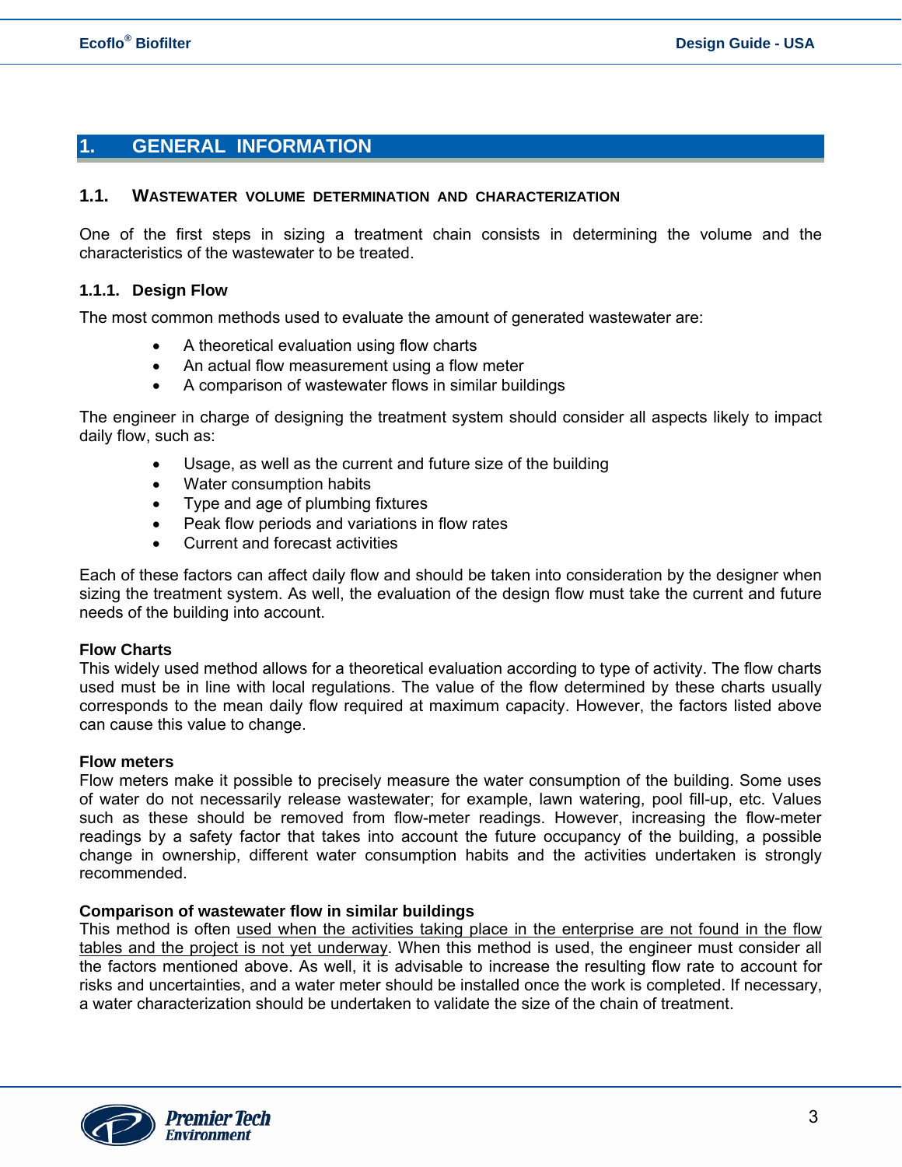#### <span id="page-2-0"></span>**1. GENERAL INFORMATION**

#### **1.1. WASTEWATER VOLUME DETERMINATION AND CHARACTERIZATION**

One of the first steps in sizing a treatment chain consists in determining the volume and the characteristics of the wastewater to be treated.

#### **1.1.1. Design Flow**

The most common methods used to evaluate the amount of generated wastewater are:

- A theoretical evaluation using flow charts
- An actual flow measurement using a flow meter
- A comparison of wastewater flows in similar buildings

The engineer in charge of designing the treatment system should consider all aspects likely to impact daily flow, such as:

- Usage, as well as the current and future size of the building
- Water consumption habits
- Type and age of plumbing fixtures
- Peak flow periods and variations in flow rates
- Current and forecast activities

Each of these factors can affect daily flow and should be taken into consideration by the designer when sizing the treatment system. As well, the evaluation of the design flow must take the current and future needs of the building into account.

#### **Flow Charts**

This widely used method allows for a theoretical evaluation according to type of activity. The flow charts used must be in line with local regulations. The value of the flow determined by these charts usually corresponds to the mean daily flow required at maximum capacity. However, the factors listed above can cause this value to change.

#### **Flow meters**

Flow meters make it possible to precisely measure the water consumption of the building. Some uses of water do not necessarily release wastewater; for example, lawn watering, pool fill-up, etc. Values such as these should be removed from flow-meter readings. However, increasing the flow-meter readings by a safety factor that takes into account the future occupancy of the building, a possible change in ownership, different water consumption habits and the activities undertaken is strongly recommended.

#### **Comparison of wastewater flow in similar buildings**

This method is often used when the activities taking place in the enterprise are not found in the flow tables and the project is not yet underway. When this method is used, the engineer must consider all the factors mentioned above. As well, it is advisable to increase the resulting flow rate to account for risks and uncertainties, and a water meter should be installed once the work is completed. If necessary, a water characterization should be undertaken to validate the size of the chain of treatment.

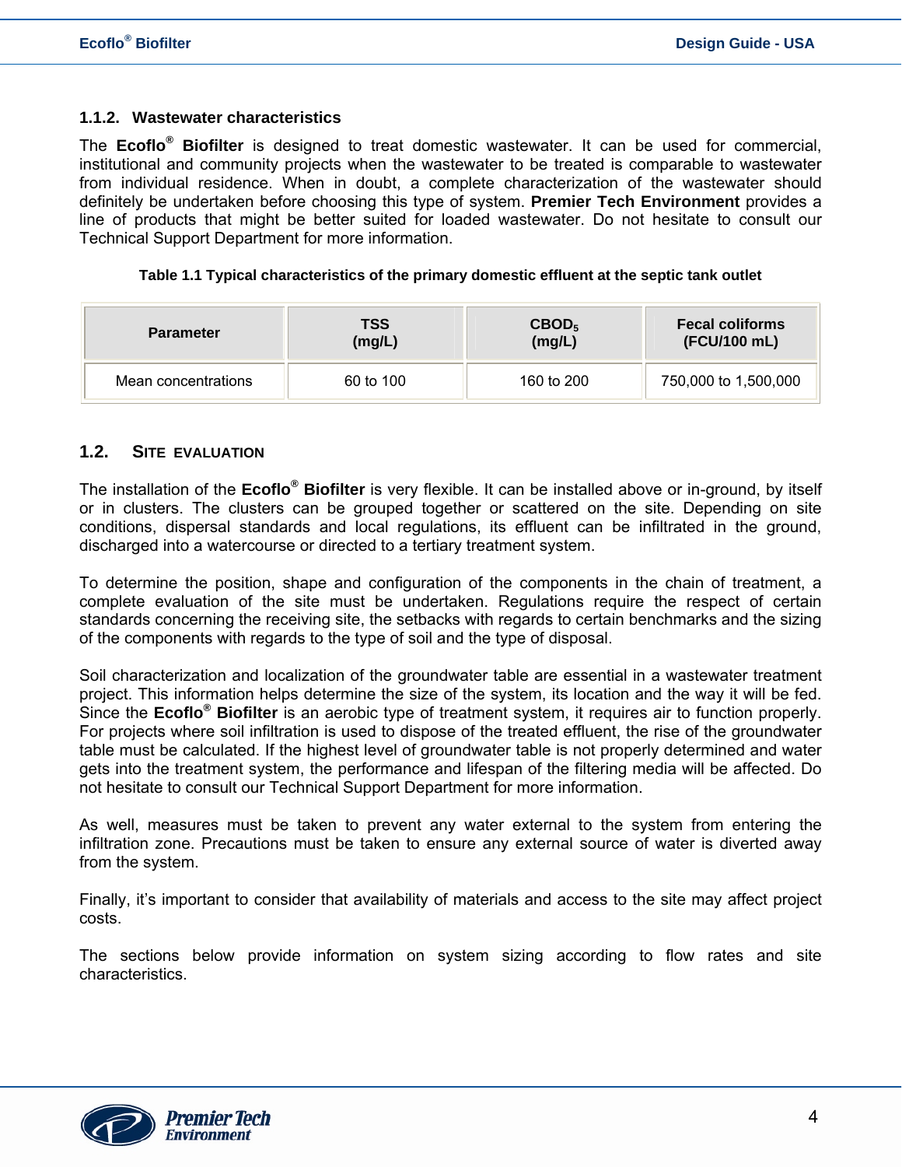#### <span id="page-3-0"></span>**1.1.2. Wastewater characteristics**

The **Ecoflo® Biofilter** is designed to treat domestic wastewater. It can be used for commercial, institutional and community projects when the wastewater to be treated is comparable to wastewater from individual residence. When in doubt, a complete characterization of the wastewater should definitely be undertaken before choosing this type of system. **Premier Tech Environment** provides a line of products that might be better suited for loaded wastewater. Do not hesitate to consult our Technical Support Department for more information.

#### **Table 1.1 Typical characteristics of the primary domestic effluent at the septic tank outlet**

| <b>Parameter</b>    | <b>TSS</b> | CBOD <sub>5</sub> | <b>Fecal coliforms</b> |
|---------------------|------------|-------------------|------------------------|
|                     | (mg/L)     | (mg/L)            | (FCU/100 mL)           |
| Mean concentrations | 60 to 100  | 160 to 200        | 750,000 to 1,500,000   |

#### **1.2. SITE EVALUATION**

The installation of the **Ecoflo® Biofilter** is very flexible. It can be installed above or in-ground, by itself or in clusters. The clusters can be grouped together or scattered on the site. Depending on site conditions, dispersal standards and local regulations, its effluent can be infiltrated in the ground, discharged into a watercourse or directed to a tertiary treatment system.

To determine the position, shape and configuration of the components in the chain of treatment, a complete evaluation of the site must be undertaken. Regulations require the respect of certain standards concerning the receiving site, the setbacks with regards to certain benchmarks and the sizing of the components with regards to the type of soil and the type of disposal.

Soil characterization and localization of the groundwater table are essential in a wastewater treatment project. This information helps determine the size of the system, its location and the way it will be fed. Since the **Ecoflo® Biofilter** is an aerobic type of treatment system, it requires air to function properly. For projects where soil infiltration is used to dispose of the treated effluent, the rise of the groundwater table must be calculated. If the highest level of groundwater table is not properly determined and water gets into the treatment system, the performance and lifespan of the filtering media will be affected. Do not hesitate to consult our Technical Support Department for more information.

As well, measures must be taken to prevent any water external to the system from entering the infiltration zone. Precautions must be taken to ensure any external source of water is diverted away from the system.

Finally, it's important to consider that availability of materials and access to the site may affect project costs.

The sections below provide information on system sizing according to flow rates and site characteristics.

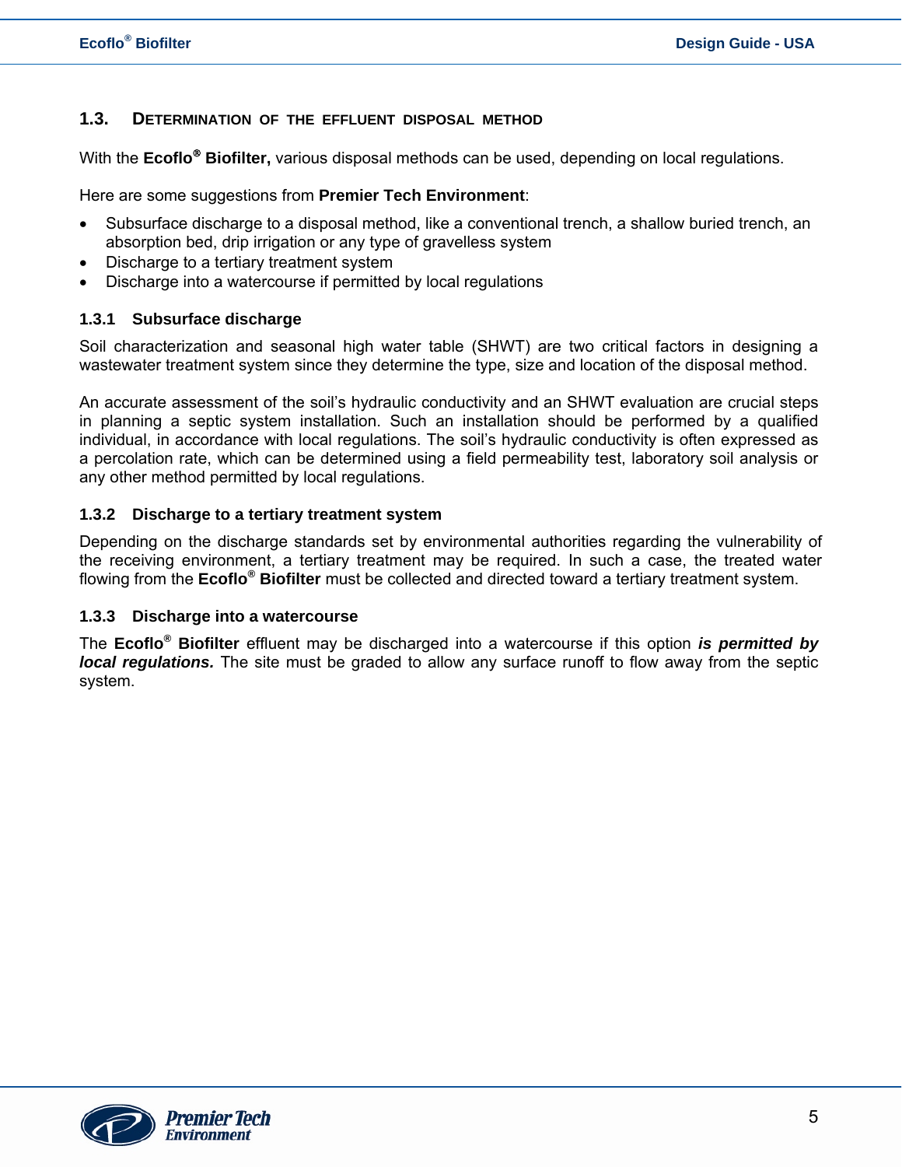#### <span id="page-4-0"></span>**1.3. DETERMINATION OF THE EFFLUENT DISPOSAL METHOD**

With the **Ecoflo**® **Biofilter,** various disposal methods can be used, depending on local regulations.

Here are some suggestions from **Premier Tech Environment**:

- Subsurface discharge to a disposal method, like a conventional trench, a shallow buried trench, an absorption bed, drip irrigation or any type of gravelless system
- Discharge to a tertiary treatment system
- Discharge into a watercourse if permitted by local regulations

#### **1.3.1 Subsurface discharge**

Soil characterization and seasonal high water table (SHWT) are two critical factors in designing a wastewater treatment system since they determine the type, size and location of the disposal method.

An accurate assessment of the soil's hydraulic conductivity and an SHWT evaluation are crucial steps in planning a septic system installation. Such an installation should be performed by a qualified individual, in accordance with local regulations. The soil's hydraulic conductivity is often expressed as a percolation rate, which can be determined using a field permeability test, laboratory soil analysis or any other method permitted by local regulations.

#### **1.3.2 Discharge to a tertiary treatment system**

Depending on the discharge standards set by environmental authorities regarding the vulnerability of the receiving environment, a tertiary treatment may be required. In such a case, the treated water flowing from the **Ecoflo® Biofilter** must be collected and directed toward a tertiary treatment system.

#### **1.3.3 Discharge into a watercourse**

The **Ecoflo® Biofilter** effluent may be discharged into a watercourse if this option *is permitted by local regulations.* The site must be graded to allow any surface runoff to flow away from the septic system.

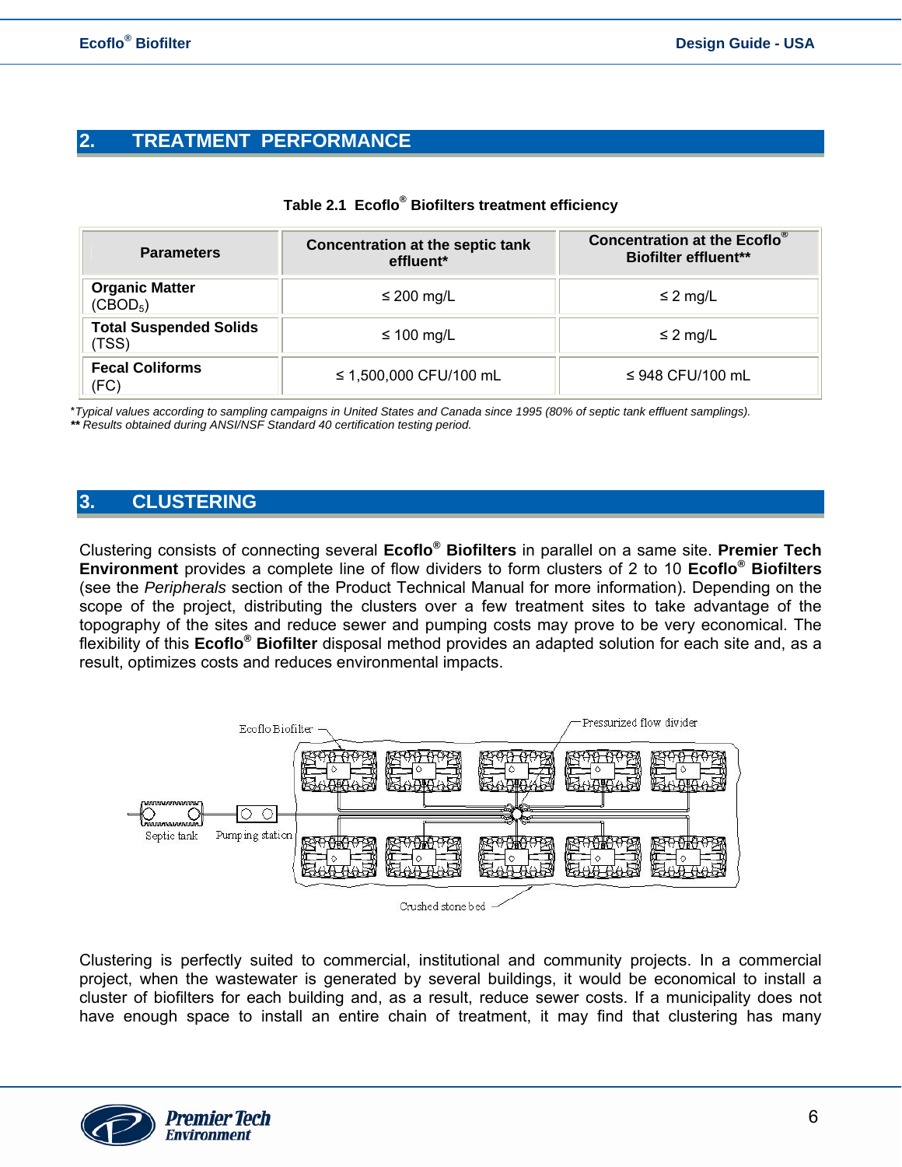## <span id="page-5-0"></span>**2. TREATMENT PERFORMANCE**

| <b>Parameters</b>                             | Concentration at the septic tank<br>effluent* | Concentration at the Ecoflo <sup>®</sup><br><b>Biofilter effluent**</b> |  |
|-----------------------------------------------|-----------------------------------------------|-------------------------------------------------------------------------|--|
| <b>Organic Matter</b><br>(CBOD <sub>5</sub> ) | $\leq$ 200 mg/L<br>$\leq$ 2 mg/L              |                                                                         |  |
| <b>Total Suspended Solids</b><br>(TSS)        | $\leq$ 100 mg/L                               | $\leq$ 2 mg/L                                                           |  |
| <b>Fecal Coliforms</b><br>(FC)                | ≤ 1,500,000 CFU/100 mL                        | ≤ 948 CFU/100 mL                                                        |  |

#### **Table 2.1 Ecoflo® Biofilters treatment efficiency**

\**Typical values according to sampling campaigns in United States and Canada since 1995 (80% of septic tank effluent samplings).* 

*\*\* Results obtained during ANSI/NSF Standard 40 certification testing period.* 

## **3. CLUSTERING**

Clustering consists of connecting several **Ecoflo® Biofilters** in parallel on a same site. **Premier Tech Environment** provides a complete line of flow dividers to form clusters of 2 to 10 **Ecoflo® Biofilters**  (see the *Peripherals* section of the Product Technical Manual for more information). Depending on the scope of the project, distributing the clusters over a few treatment sites to take advantage of the topography of the sites and reduce sewer and pumping costs may prove to be very economical. The flexibility of this **Ecoflo® Biofilter** disposal method provides an adapted solution for each site and, as a result, optimizes costs and reduces environmental impacts.



Clustering is perfectly suited to commercial, institutional and community projects. In a commercial project, when the wastewater is generated by several buildings, it would be economical to install a cluster of biofilters for each building and, as a result, reduce sewer costs. If a municipality does not have enough space to install an entire chain of treatment, it may find that clustering has many

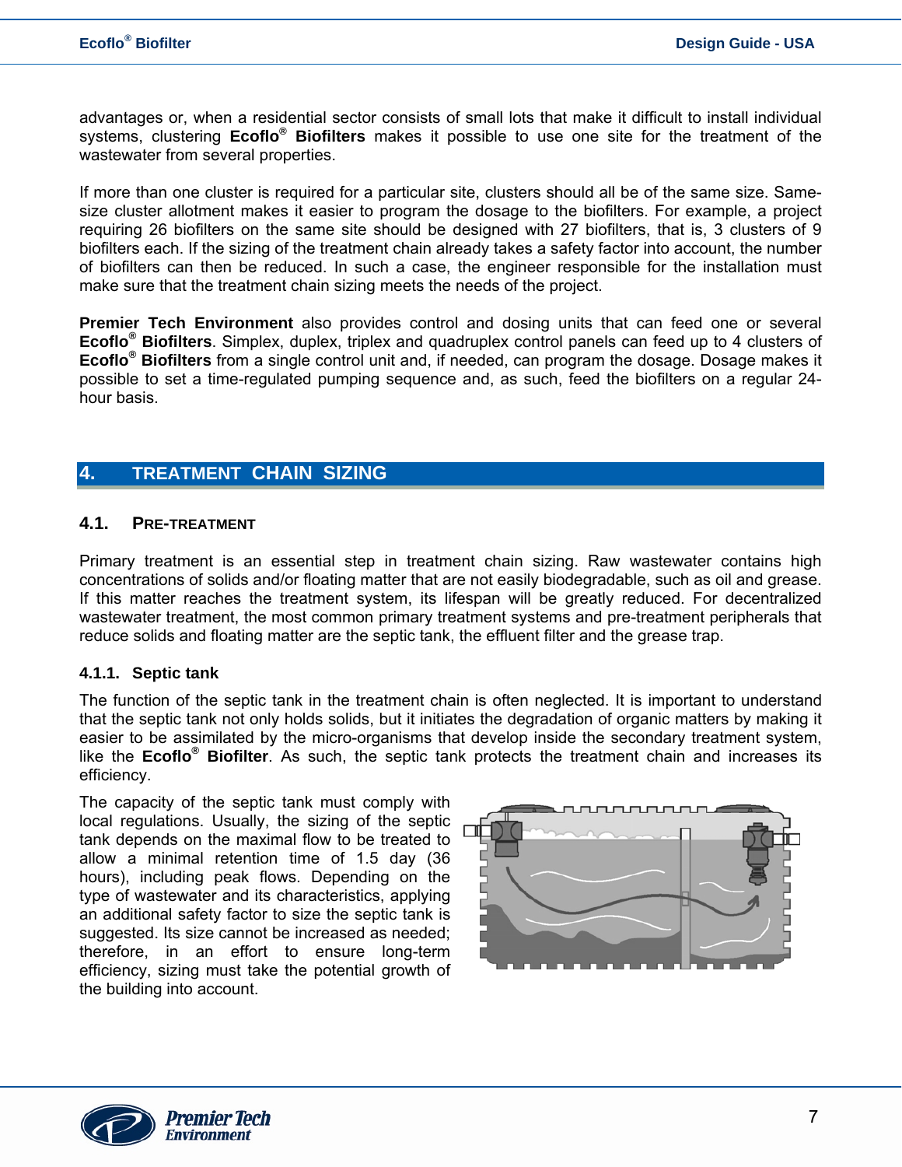<span id="page-6-0"></span>advantages or, when a residential sector consists of small lots that make it difficult to install individual systems, clustering **Ecoflo® Biofilters** makes it possible to use one site for the treatment of the wastewater from several properties.

If more than one cluster is required for a particular site, clusters should all be of the same size. Samesize cluster allotment makes it easier to program the dosage to the biofilters. For example, a project requiring 26 biofilters on the same site should be designed with 27 biofilters, that is, 3 clusters of 9 biofilters each. If the sizing of the treatment chain already takes a safety factor into account, the number of biofilters can then be reduced. In such a case, the engineer responsible for the installation must make sure that the treatment chain sizing meets the needs of the project.

**Premier Tech Environment** also provides control and dosing units that can feed one or several **Ecoflo® Biofilters**. Simplex, duplex, triplex and quadruplex control panels can feed up to 4 clusters of **Ecoflo® Biofilters** from a single control unit and, if needed, can program the dosage. Dosage makes it possible to set a time-regulated pumping sequence and, as such, feed the biofilters on a regular 24 hour basis.

#### **4. TREATMENT CHAIN SIZING**

#### **4.1. PRE-TREATMENT**

Primary treatment is an essential step in treatment chain sizing. Raw wastewater contains high concentrations of solids and/or floating matter that are not easily biodegradable, such as oil and grease. If this matter reaches the treatment system, its lifespan will be greatly reduced. For decentralized wastewater treatment, the most common primary treatment systems and pre-treatment peripherals that reduce solids and floating matter are the septic tank, the effluent filter and the grease trap.

#### **4.1.1. Septic tank**

The function of the septic tank in the treatment chain is often neglected. It is important to understand that the septic tank not only holds solids, but it initiates the degradation of organic matters by making it easier to be assimilated by the micro-organisms that develop inside the secondary treatment system, like the **Ecoflo® Biofilter**. As such, the septic tank protects the treatment chain and increases its efficiency.

The capacity of the septic tank must comply with local regulations. Usually, the sizing of the septic tank depends on the maximal flow to be treated to allow a minimal retention time of 1.5 day (36 hours), including peak flows. Depending on the type of wastewater and its characteristics, applying an additional safety factor to size the septic tank is suggested. Its size cannot be increased as needed; therefore, in an effort to ensure long-term efficiency, sizing must take the potential growth of the building into account.



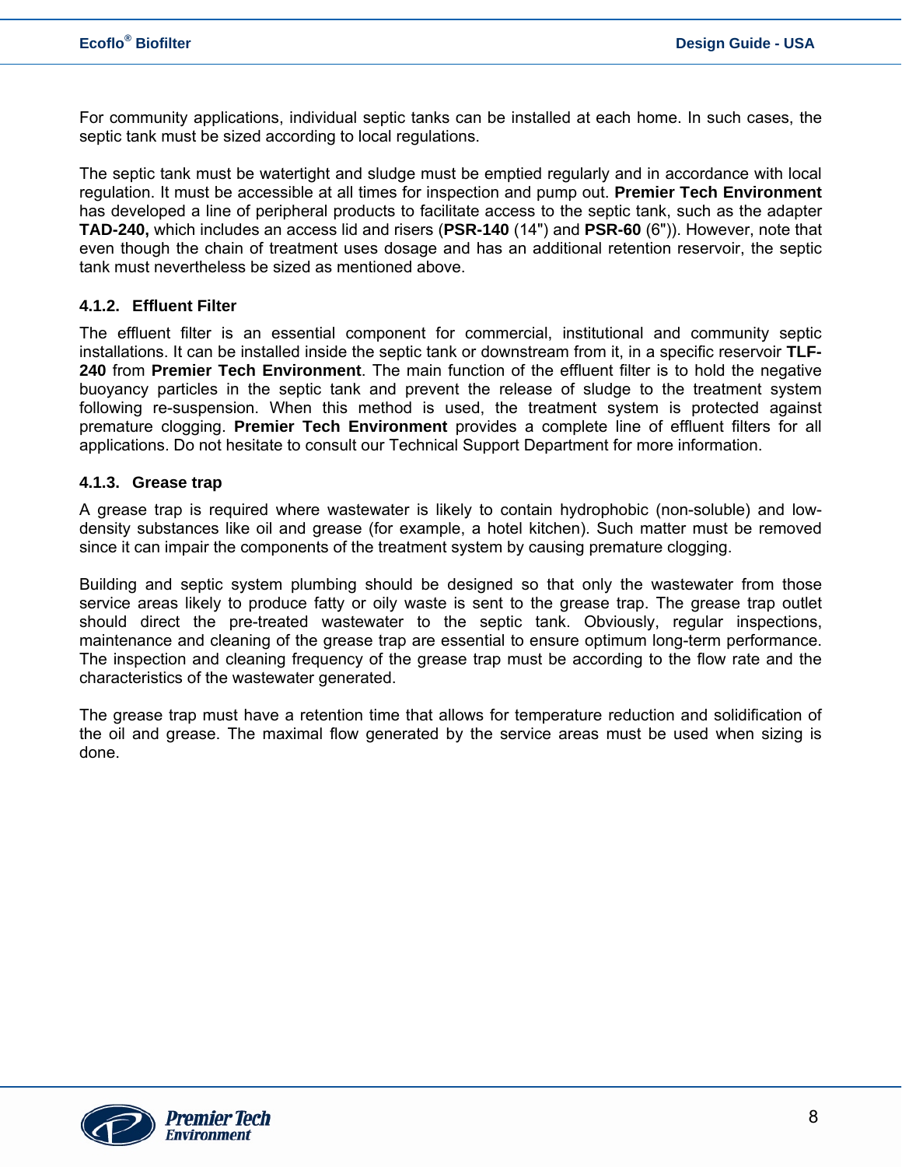<span id="page-7-0"></span>For community applications, individual septic tanks can be installed at each home. In such cases, the septic tank must be sized according to local regulations.

The septic tank must be watertight and sludge must be emptied regularly and in accordance with local regulation. It must be accessible at all times for inspection and pump out. **Premier Tech Environment** has developed a line of peripheral products to facilitate access to the septic tank, such as the adapter **TAD-240,** which includes an access lid and risers (**PSR-140** (14") and **PSR-60** (6")). However, note that even though the chain of treatment uses dosage and has an additional retention reservoir, the septic tank must nevertheless be sized as mentioned above.

#### **4.1.2. Effluent Filter**

The effluent filter is an essential component for commercial, institutional and community septic installations. It can be installed inside the septic tank or downstream from it, in a specific reservoir **TLF-240** from **Premier Tech Environment**. The main function of the effluent filter is to hold the negative buoyancy particles in the septic tank and prevent the release of sludge to the treatment system following re-suspension. When this method is used, the treatment system is protected against premature clogging. **Premier Tech Environment** provides a complete line of effluent filters for all applications. Do not hesitate to consult our Technical Support Department for more information.

#### **4.1.3. Grease trap**

A grease trap is required where wastewater is likely to contain hydrophobic (non-soluble) and lowdensity substances like oil and grease (for example, a hotel kitchen). Such matter must be removed since it can impair the components of the treatment system by causing premature clogging.

Building and septic system plumbing should be designed so that only the wastewater from those service areas likely to produce fatty or oily waste is sent to the grease trap. The grease trap outlet should direct the pre-treated wastewater to the septic tank. Obviously, regular inspections, maintenance and cleaning of the grease trap are essential to ensure optimum long-term performance. The inspection and cleaning frequency of the grease trap must be according to the flow rate and the characteristics of the wastewater generated.

The grease trap must have a retention time that allows for temperature reduction and solidification of the oil and grease. The maximal flow generated by the service areas must be used when sizing is done.

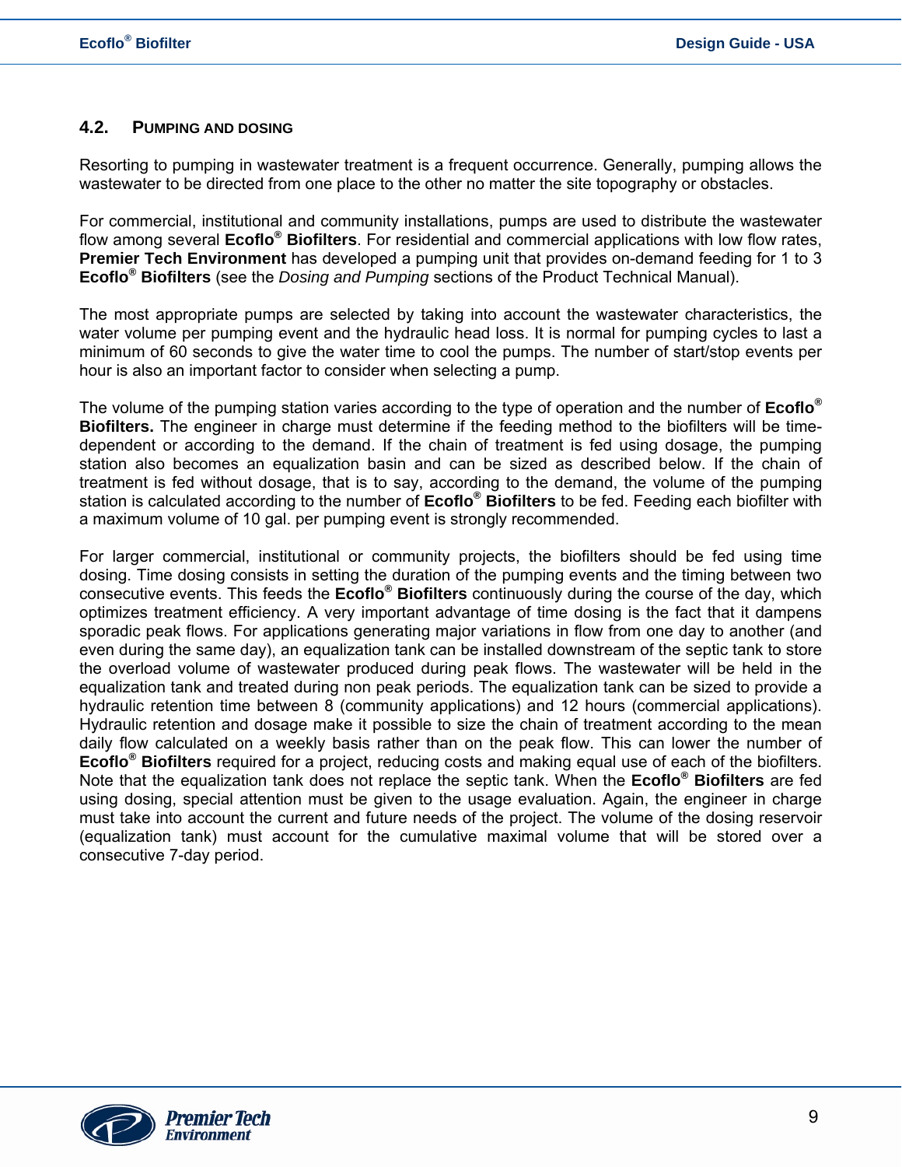#### <span id="page-8-0"></span>**4.2. PUMPING AND DOSING**

Resorting to pumping in wastewater treatment is a frequent occurrence. Generally, pumping allows the wastewater to be directed from one place to the other no matter the site topography or obstacles.

For commercial, institutional and community installations, pumps are used to distribute the wastewater flow among several **Ecoflo® Biofilters**. For residential and commercial applications with low flow rates, **Premier Tech Environment** has developed a pumping unit that provides on-demand feeding for 1 to 3 **Ecoflo® Biofilters** (see the *Dosing and Pumping* sections of the Product Technical Manual).

The most appropriate pumps are selected by taking into account the wastewater characteristics, the water volume per pumping event and the hydraulic head loss. It is normal for pumping cycles to last a minimum of 60 seconds to give the water time to cool the pumps. The number of start/stop events per hour is also an important factor to consider when selecting a pump.

The volume of the pumping station varies according to the type of operation and the number of **Ecoflo® Biofilters.** The engineer in charge must determine if the feeding method to the biofilters will be timedependent or according to the demand. If the chain of treatment is fed using dosage, the pumping station also becomes an equalization basin and can be sized as described below. If the chain of treatment is fed without dosage, that is to say, according to the demand, the volume of the pumping station is calculated according to the number of **Ecoflo® Biofilters** to be fed. Feeding each biofilter with a maximum volume of 10 gal. per pumping event is strongly recommended.

For larger commercial, institutional or community projects, the biofilters should be fed using time dosing. Time dosing consists in setting the duration of the pumping events and the timing between two consecutive events. This feeds the **Ecoflo® Biofilters** continuously during the course of the day, which optimizes treatment efficiency. A very important advantage of time dosing is the fact that it dampens sporadic peak flows. For applications generating major variations in flow from one day to another (and even during the same day), an equalization tank can be installed downstream of the septic tank to store the overload volume of wastewater produced during peak flows. The wastewater will be held in the equalization tank and treated during non peak periods. The equalization tank can be sized to provide a hydraulic retention time between 8 (community applications) and 12 hours (commercial applications). Hydraulic retention and dosage make it possible to size the chain of treatment according to the mean daily flow calculated on a weekly basis rather than on the peak flow. This can lower the number of **Ecoflo® Biofilters** required for a project, reducing costs and making equal use of each of the biofilters. Note that the equalization tank does not replace the septic tank. When the **Ecoflo® Biofilters** are fed using dosing, special attention must be given to the usage evaluation. Again, the engineer in charge must take into account the current and future needs of the project. The volume of the dosing reservoir (equalization tank) must account for the cumulative maximal volume that will be stored over a consecutive 7-day period.

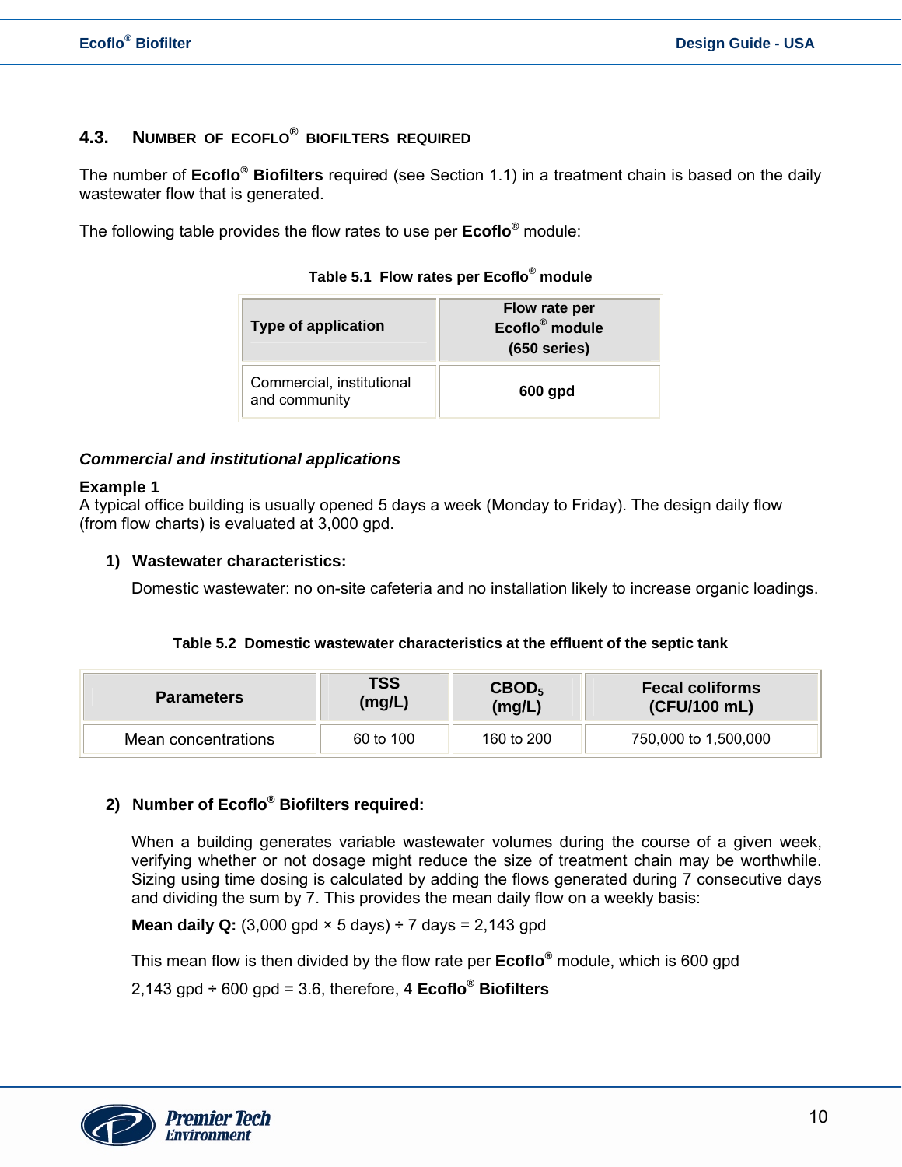## <span id="page-9-0"></span>**4.3. NUMBER OF ECOFLO® BIOFILTERS REQUIRED**

The number of **Ecoflo® Biofilters** required (see Section 1.1) in a treatment chain is based on the daily wastewater flow that is generated.

The following table provides the flow rates to use per **Ecoflo®** module:

| Table 5.1 Flow rates per Ecoflo <sup>®</sup> module |  |  |  |
|-----------------------------------------------------|--|--|--|
|-----------------------------------------------------|--|--|--|

| <b>Type of application</b>                 | Flow rate per<br>Ecoflo <sup>®</sup> module<br>$(650$ series) |  |
|--------------------------------------------|---------------------------------------------------------------|--|
| Commercial, institutional<br>and community | 600 gpd                                                       |  |

#### *Commercial and institutional applications*

#### **Example 1**

A typical office building is usually opened 5 days a week (Monday to Friday). The design daily flow (from flow charts) is evaluated at 3,000 gpd.

#### **1) Wastewater characteristics:**

Domestic wastewater: no on-site cafeteria and no installation likely to increase organic loadings.

| Table 5.2 Domestic wastewater characteristics at the effluent of the septic tank |  |
|----------------------------------------------------------------------------------|--|
|----------------------------------------------------------------------------------|--|

| <b>Parameters</b>   | <b>TSS</b> | CBOD <sub>5</sub> | <b>Fecal coliforms</b> |
|---------------------|------------|-------------------|------------------------|
|                     | (mg/L)     | (mg/L)            | (CFU/100 mL)           |
| Mean concentrations | 60 to 100  | 160 to 200        | 750,000 to 1,500,000   |

#### **2) Number of Ecoflo® Biofilters required:**

When a building generates variable wastewater volumes during the course of a given week, verifying whether or not dosage might reduce the size of treatment chain may be worthwhile. Sizing using time dosing is calculated by adding the flows generated during 7 consecutive days and dividing the sum by 7. This provides the mean daily flow on a weekly basis:

**Mean daily Q:** (3,000 gpd  $\times$  5 days) ÷ 7 days = 2,143 gpd

This mean flow is then divided by the flow rate per **Ecoflo®** module, which is 600 gpd

2,143 gpd ÷ 600 gpd = 3.6, therefore, 4 **Ecoflo® Biofilters** 

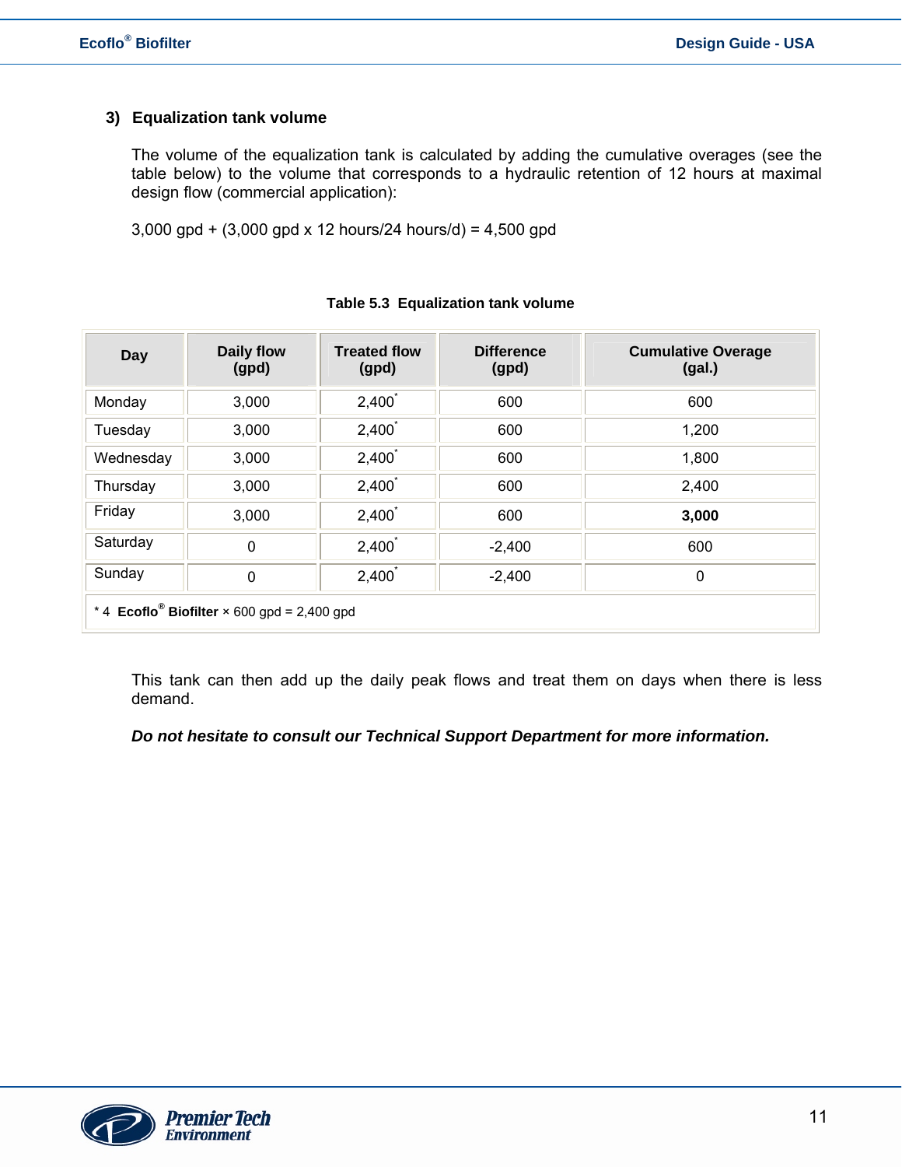#### **3) Equalization tank volume**

The volume of the equalization tank is calculated by adding the cumulative overages (see the table below) to the volume that corresponds to a hydraulic retention of 12 hours at maximal design flow (commercial application):

3,000 gpd + (3,000 gpd x 12 hours/24 hours/d) = 4,500 gpd

| <b>Day</b>                                                    | <b>Daily flow</b><br>(gpd) | <b>Treated flow</b><br>(gpd) | <b>Difference</b><br>(gpd) | <b>Cumulative Overage</b><br>(gal.) |
|---------------------------------------------------------------|----------------------------|------------------------------|----------------------------|-------------------------------------|
| Monday                                                        | 3,000                      | $2,400^{\degree}$            | 600                        | 600                                 |
| Tuesday                                                       | 3,000                      | $2,400^{\degree}$            | 600                        | 1,200                               |
| Wednesday                                                     | 3,000                      | $2,400^{\degree}$            | 600                        | 1,800                               |
| Thursday                                                      | 3,000                      | $2,400^{\degree}$            | 600                        | 2,400                               |
| Friday                                                        | 3,000                      | $2,400^{\degree}$            | 600                        | 3,000                               |
| Saturday                                                      | $\mathbf 0$                | $2,400^{\degree}$            | $-2,400$                   | 600                                 |
| Sunday                                                        | $\mathbf 0$                | $2,400^{\degree}$            | $-2,400$                   | 0                                   |
| * 4 $\text{Ecoflo}^{\otimes}$ Biofilter × 600 gpd = 2,400 gpd |                            |                              |                            |                                     |

#### **Table 5.3 Equalization tank volume**

This tank can then add up the daily peak flows and treat them on days when there is less demand.

*Do not hesitate to consult our Technical Support Department for more information.*

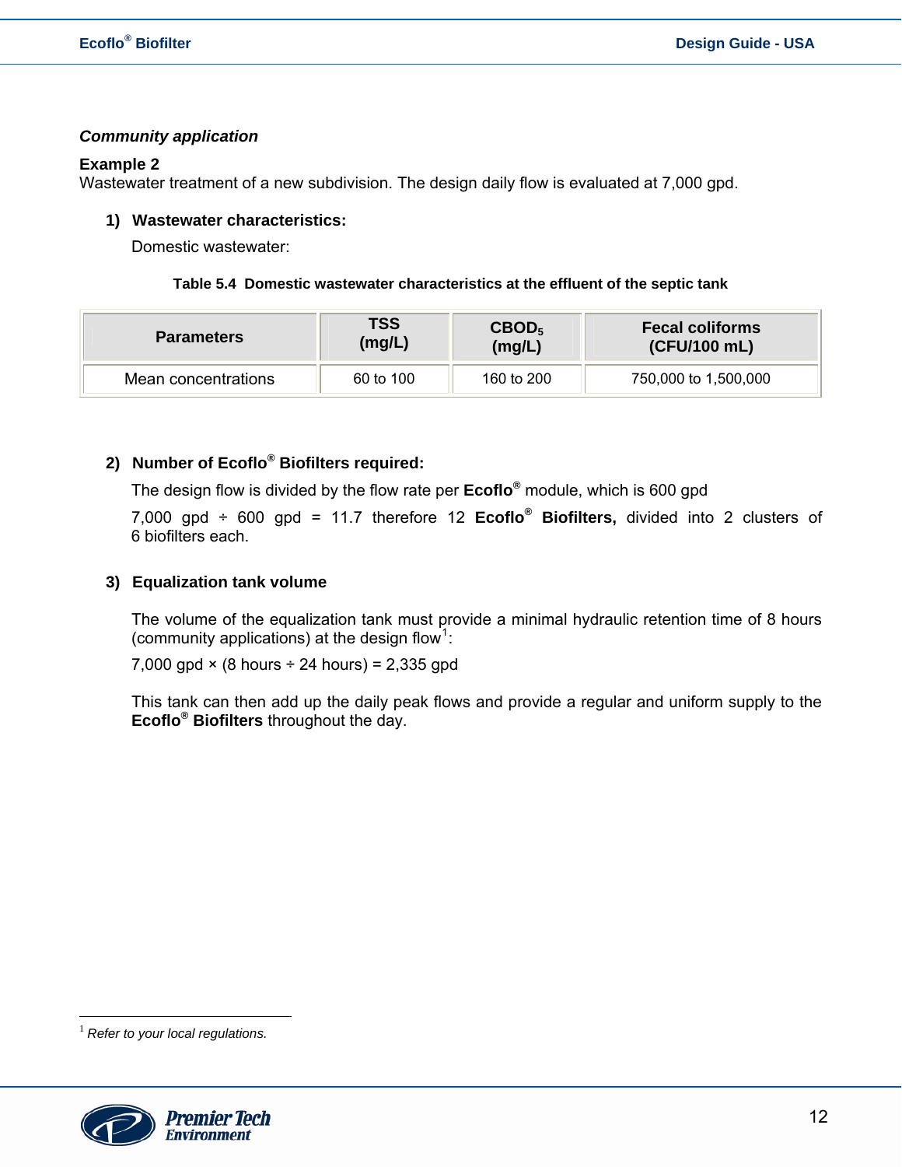#### *Community application*

#### **Example 2**

Wastewater treatment of a new subdivision. The design daily flow is evaluated at 7,000 gpd.

#### **1) Wastewater characteristics:**

Domestic wastewater:

#### **Table 5.4 Domestic wastewater characteristics at the effluent of the septic tank**

| <b>Parameters</b>   | <b>TSS</b> | CBOD <sub>5</sub> | <b>Fecal coliforms</b> |
|---------------------|------------|-------------------|------------------------|
|                     | (mg/L)     | (mg/L)            | (CFU/100 mL)           |
| Mean concentrations | 60 to 100  | 160 to 200        | 750,000 to 1,500,000   |

#### **2) Number of Ecoflo® Biofilters required:**

The design flow is divided by the flow rate per **Ecoflo®** module, which is 600 gpd

7,000 gpd ÷ 600 gpd = 11.7 therefore 12 **Ecoflo® Biofilters,** divided into 2 clusters of 6 biofilters each.

#### **3) Equalization tank volume**

The volume of the equalization tank must provide a minimal hydraulic retention time of 8 hours (community applications) at the design flow<sup>[1](#page-11-0)</sup>:

7,000 gpd  $\times$  (8 hours ÷ 24 hours) = 2,335 gpd

This tank can then add up the daily peak flows and provide a regular and uniform supply to the **Ecoflo® Biofilters** throughout the day.

 $\overline{a}$ 



<span id="page-11-0"></span><sup>1</sup> *Refer to your local regulations.*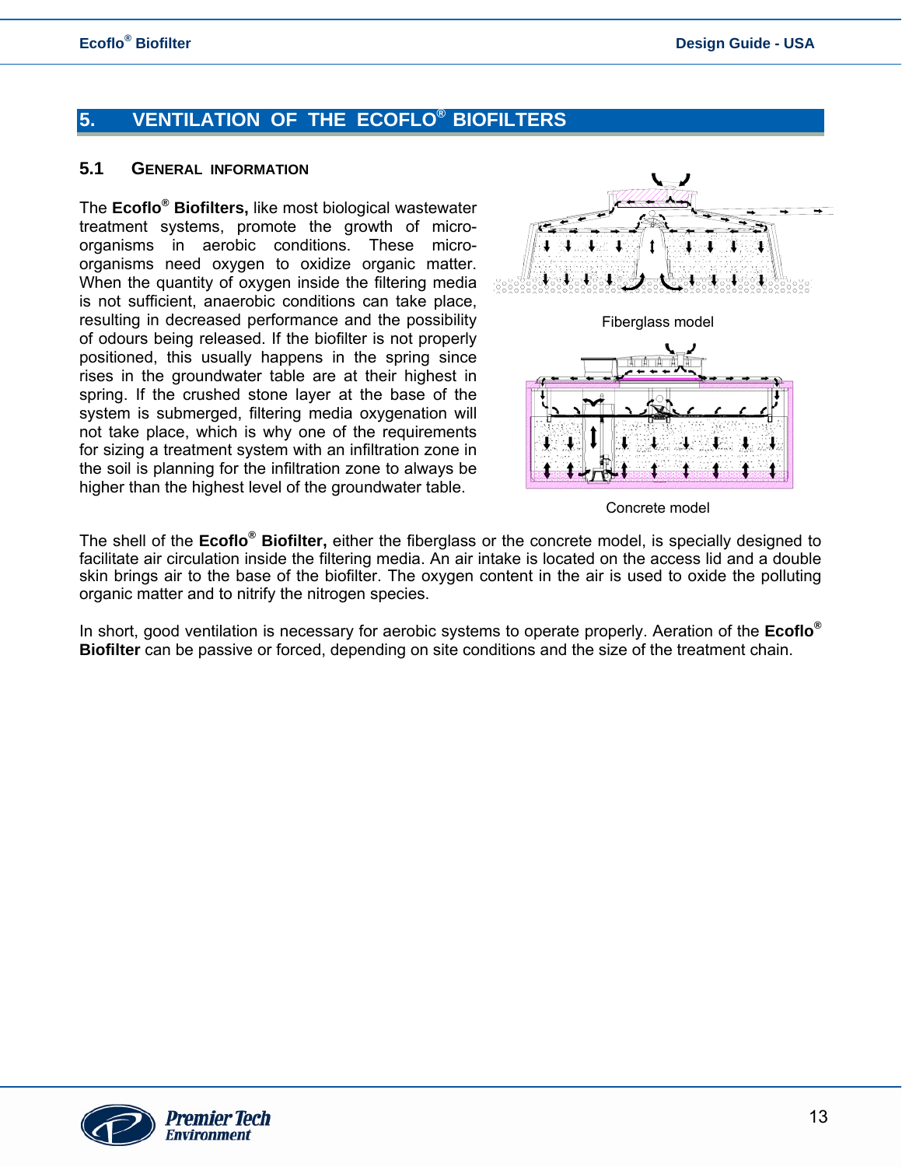## <span id="page-12-0"></span>**5. VENTILATION OF THE ECOFLO® BIOFILTERS**

#### **5.1 GENERAL INFORMATION**

The **Ecoflo® Biofilters,** like most biological wastewater treatment systems, promote the growth of microorganisms in aerobic conditions. These microorganisms need oxygen to oxidize organic matter. When the quantity of oxygen inside the filtering media is not sufficient, anaerobic conditions can take place, resulting in decreased performance and the possibility of odours being released. If the biofilter is not properly positioned, this usually happens in the spring since rises in the groundwater table are at their highest in spring. If the crushed stone layer at the base of the system is submerged, filtering media oxygenation will not take place, which is why one of the requirements for sizing a treatment system with an infiltration zone in the soil is planning for the infiltration zone to always be higher than the highest level of the groundwater table.



Concrete model

The shell of the **Ecoflo® Biofilter,** either the fiberglass or the concrete model, is specially designed to facilitate air circulation inside the filtering media. An air intake is located on the access lid and a double skin brings air to the base of the biofilter. The oxygen content in the air is used to oxide the polluting organic matter and to nitrify the nitrogen species.

In short, good ventilation is necessary for aerobic systems to operate properly. Aeration of the **Ecoflo® Biofilter** can be passive or forced, depending on site conditions and the size of the treatment chain.

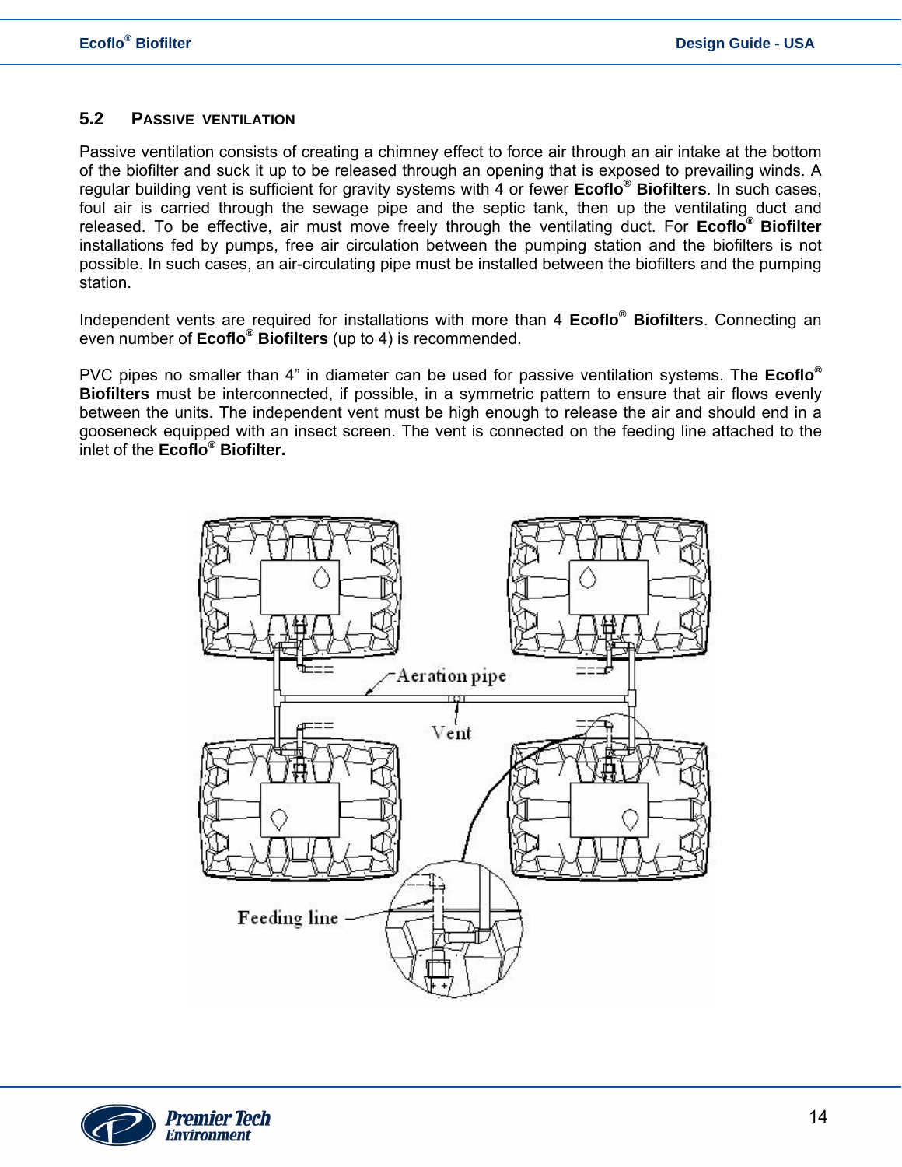#### <span id="page-13-0"></span>**5.2 PASSIVE VENTILATION**

Passive ventilation consists of creating a chimney effect to force air through an air intake at the bottom of the biofilter and suck it up to be released through an opening that is exposed to prevailing winds. A regular building vent is sufficient for gravity systems with 4 or fewer **Ecoflo® Biofilters**. In such cases, foul air is carried through the sewage pipe and the septic tank, then up the ventilating duct and released. To be effective, air must move freely through the ventilating duct. For **Ecoflo® Biofilter** installations fed by pumps, free air circulation between the pumping station and the biofilters is not possible. In such cases, an air-circulating pipe must be installed between the biofilters and the pumping station.

Independent vents are required for installations with more than 4 **Ecoflo® Biofilters**. Connecting an even number of **Ecoflo® Biofilters** (up to 4) is recommended.

PVC pipes no smaller than 4" in diameter can be used for passive ventilation systems. The **Ecoflo® Biofilters** must be interconnected, if possible, in a symmetric pattern to ensure that air flows evenly between the units. The independent vent must be high enough to release the air and should end in a gooseneck equipped with an insect screen. The vent is connected on the feeding line attached to the inlet of the **Ecoflo® Biofilter.** 



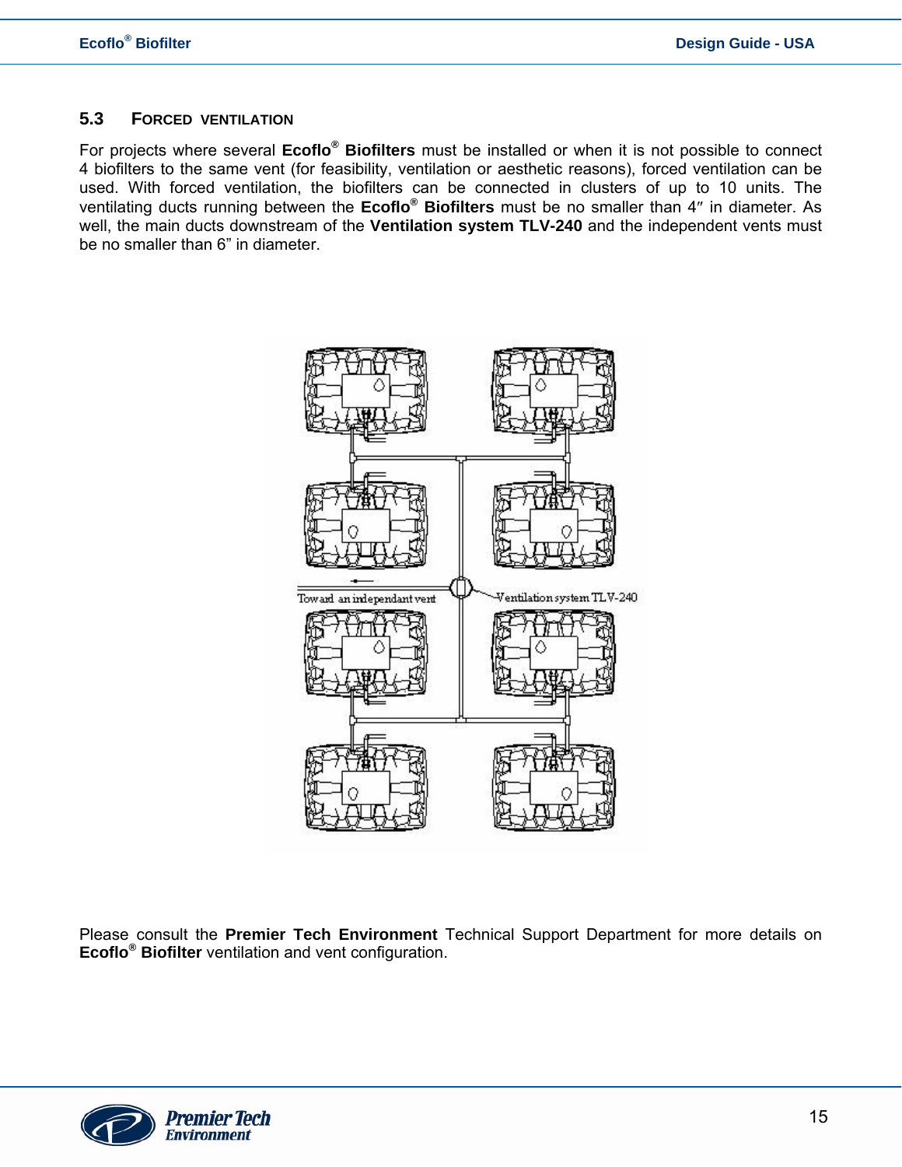#### <span id="page-14-0"></span>**5.3 FORCED VENTILATION**

For projects where several **Ecoflo® Biofilters** must be installed or when it is not possible to connect 4 biofilters to the same vent (for feasibility, ventilation or aesthetic reasons), forced ventilation can be used. With forced ventilation, the biofilters can be connected in clusters of up to 10 units. The ventilating ducts running between the **Ecoflo® Biofilters** must be no smaller than 4″ in diameter. As well, the main ducts downstream of the **Ventilation system TLV-240** and the independent vents must be no smaller than 6" in diameter.



Please consult the **Premier Tech Environment** Technical Support Department for more details on **Ecoflo® Biofilter** ventilation and vent configuration.